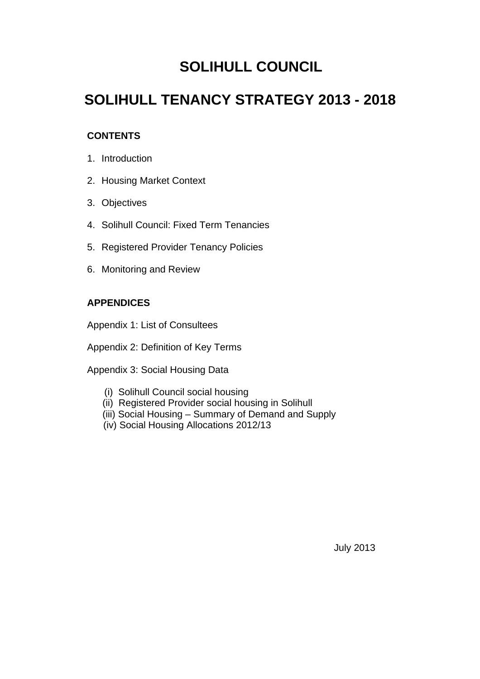# **SOLIHULL COUNCIL**

# **SOLIHULL TENANCY STRATEGY 2013 - 2018**

# **CONTENTS**

- 1. Introduction
- 2. Housing Market Context
- 3. Objectives
- 4. Solihull Council: Fixed Term Tenancies
- 5. Registered Provider Tenancy Policies
- 6. Monitoring and Review

# **APPENDICES**

Appendix 1: List of Consultees

Appendix 2: Definition of Key Terms

Appendix 3: Social Housing Data

- (i) Solihull Council social housing
- (ii) Registered Provider social housing in Solihull
- (iii) Social Housing Summary of Demand and Supply
- (iv) Social Housing Allocations 2012/13

July 2013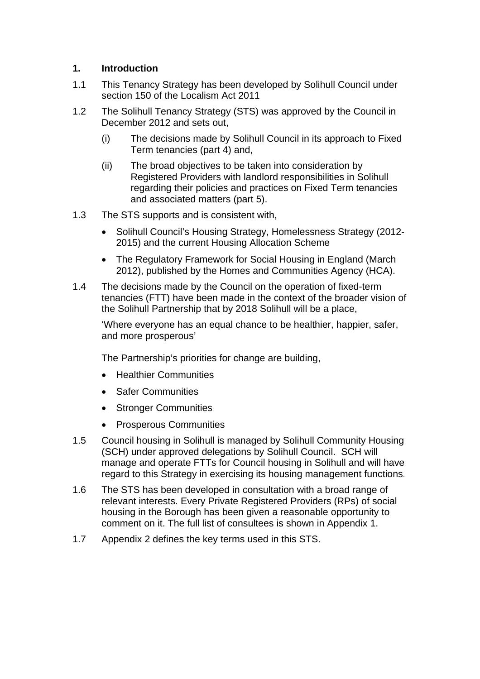### **1. Introduction**

- 1.1 This Tenancy Strategy has been developed by Solihull Council under section 150 of the Localism Act 2011
- 1.2 The Solihull Tenancy Strategy (STS) was approved by the Council in December 2012 and sets out,
	- (i) The decisions made by Solihull Council in its approach to Fixed Term tenancies (part 4) and,
	- (ii) The broad objectives to be taken into consideration by Registered Providers with landlord responsibilities in Solihull regarding their policies and practices on Fixed Term tenancies and associated matters (part 5).
- 1.3 The STS supports and is consistent with,
	- Solihull Council's Housing Strategy, Homelessness Strategy (2012-2015) and the current Housing Allocation Scheme
	- The Regulatory Framework for Social Housing in England (March 2012), published by the Homes and Communities Agency (HCA).
- 1.4 The decisions made by the Council on the operation of fixed-term tenancies (FTT) have been made in the context of the broader vision of the Solihull Partnership that by 2018 Solihull will be a place,

'Where everyone has an equal chance to be healthier, happier, safer, and more prosperous'

The Partnership's priorities for change are building,

- Healthier Communities
- Safer Communities
- Stronger Communities
- **•** Prosperous Communities
- 1.5 Council housing in Solihull is managed by Solihull Community Housing (SCH) under approved delegations by Solihull Council. SCH will manage and operate FTTs for Council housing in Solihull and will have regard to this Strategy in exercising its housing management functions.
- 1.6 The STS has been developed in consultation with a broad range of relevant interests. Every Private Registered Providers (RPs) of social housing in the Borough has been given a reasonable opportunity to comment on it. The full list of consultees is shown in Appendix 1.
- 1.7 Appendix 2 defines the key terms used in this STS.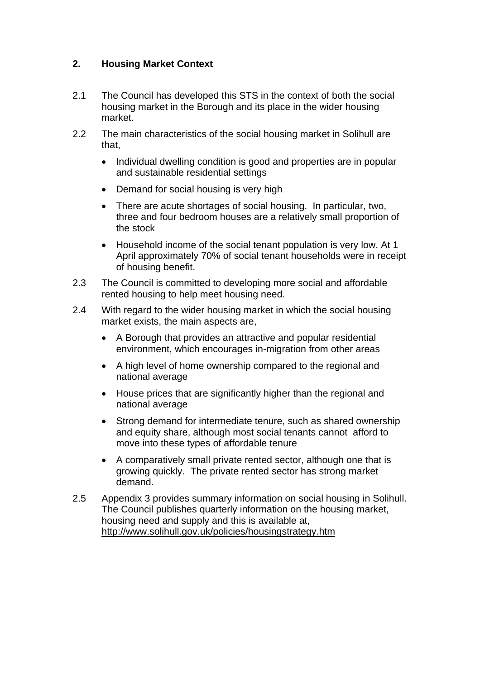# **2. Housing Market Context**

- 2.1 The Council has developed this STS in the context of both the social housing market in the Borough and its place in the wider housing market.
- 2.2 The main characteristics of the social housing market in Solihull are that,
	- Individual dwelling condition is good and properties are in popular and sustainable residential settings
	- Demand for social housing is very high
	- There are acute shortages of social housing. In particular, two, three and four bedroom houses are a relatively small proportion of the stock
	- Household income of the social tenant population is very low. At 1 April approximately 70% of social tenant households were in receipt of housing benefit.
- 2.3 The Council is committed to developing more social and affordable rented housing to help meet housing need.
- 2.4 With regard to the wider housing market in which the social housing market exists, the main aspects are,
	- A Borough that provides an attractive and popular residential environment, which encourages in-migration from other areas
	- A high level of home ownership compared to the regional and national average
	- House prices that are significantly higher than the regional and national average
	- Strong demand for intermediate tenure, such as shared ownership and equity share, although most social tenants cannot afford to move into these types of affordable tenure
	- A comparatively small private rented sector, although one that is growing quickly. The private rented sector has strong market demand.
- 2.5 Appendix 3 provides summary information on social housing in Solihull. The Council publishes quarterly information on the housing market, housing need and supply and this is available at, http://www.solihull.gov.uk/policies/housingstrategy.htm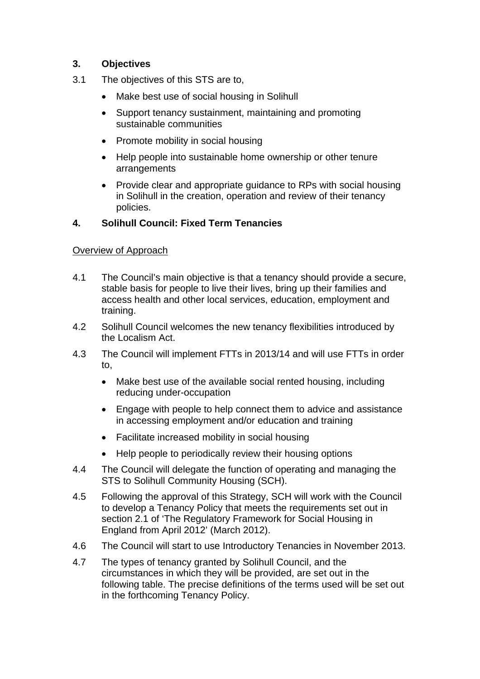# **3. Objectives**

- 3.1 The objectives of this STS are to,
	- Make best use of social housing in Solihull
	- Support tenancy sustainment, maintaining and promoting sustainable communities
	- Promote mobility in social housing
	- Help people into sustainable home ownership or other tenure arrangements
	- Provide clear and appropriate guidance to RPs with social housing in Solihull in the creation, operation and review of their tenancy policies.

# **4. Solihull Council: Fixed Term Tenancies**

# Overview of Approach

- 4.1 The Council's main objective is that a tenancy should provide a secure, stable basis for people to live their lives, bring up their families and access health and other local services, education, employment and training.
- 4.2 Solihull Council welcomes the new tenancy flexibilities introduced by the Localism Act.
- 4.3 The Council will implement FTTs in 2013/14 and will use FTTs in order to,
	- Make best use of the available social rented housing, including reducing under-occupation
	- Engage with people to help connect them to advice and assistance in accessing employment and/or education and training
	- Facilitate increased mobility in social housing
	- Help people to periodically review their housing options
- 4.4 The Council will delegate the function of operating and managing the STS to Solihull Community Housing (SCH).
- 4.5 Following the approval of this Strategy, SCH will work with the Council to develop a Tenancy Policy that meets the requirements set out in section 2.1 of 'The Regulatory Framework for Social Housing in England from April 2012' (March 2012).
- 4.6 The Council will start to use Introductory Tenancies in November 2013.
- 4.7 The types of tenancy granted by Solihull Council, and the circumstances in which they will be provided, are set out in the following table. The precise definitions of the terms used will be set out in the forthcoming Tenancy Policy.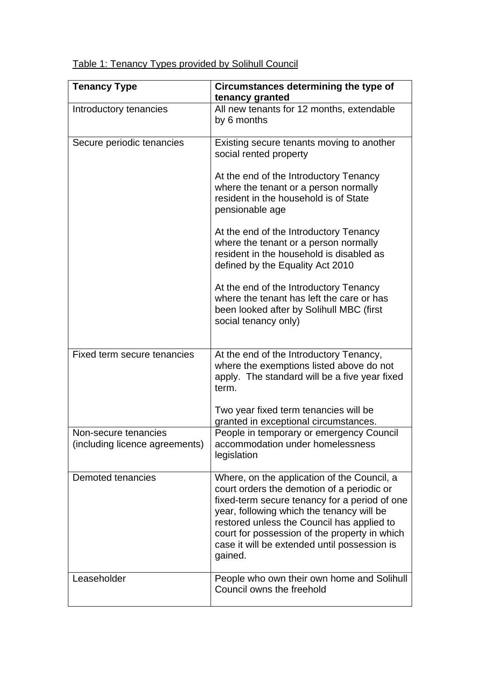|  |  | Table 1: Tenancy Types provided by Solihull Council |  |
|--|--|-----------------------------------------------------|--|
|  |  |                                                     |  |

| <b>Tenancy Type</b>                                    | Circumstances determining the type of<br>tenancy granted                                                                                                                                                                                                                                                                                          |  |  |
|--------------------------------------------------------|---------------------------------------------------------------------------------------------------------------------------------------------------------------------------------------------------------------------------------------------------------------------------------------------------------------------------------------------------|--|--|
| Introductory tenancies                                 | All new tenants for 12 months, extendable<br>by 6 months                                                                                                                                                                                                                                                                                          |  |  |
| Secure periodic tenancies                              | Existing secure tenants moving to another<br>social rented property                                                                                                                                                                                                                                                                               |  |  |
|                                                        | At the end of the Introductory Tenancy<br>where the tenant or a person normally<br>resident in the household is of State<br>pensionable age                                                                                                                                                                                                       |  |  |
|                                                        | At the end of the Introductory Tenancy<br>where the tenant or a person normally<br>resident in the household is disabled as<br>defined by the Equality Act 2010                                                                                                                                                                                   |  |  |
|                                                        | At the end of the Introductory Tenancy<br>where the tenant has left the care or has<br>been looked after by Solihull MBC (first<br>social tenancy only)                                                                                                                                                                                           |  |  |
| Fixed term secure tenancies                            | At the end of the Introductory Tenancy,<br>where the exemptions listed above do not<br>apply. The standard will be a five year fixed<br>term.                                                                                                                                                                                                     |  |  |
|                                                        | Two year fixed term tenancies will be<br>granted in exceptional circumstances.                                                                                                                                                                                                                                                                    |  |  |
| Non-secure tenancies<br>(including licence agreements) | People in temporary or emergency Council<br>accommodation under homelessness<br>legislation                                                                                                                                                                                                                                                       |  |  |
| Demoted tenancies                                      | Where, on the application of the Council, a<br>court orders the demotion of a periodic or<br>fixed-term secure tenancy for a period of one<br>year, following which the tenancy will be<br>restored unless the Council has applied to<br>court for possession of the property in which<br>case it will be extended until possession is<br>gained. |  |  |
| Leaseholder                                            | People who own their own home and Solihull<br>Council owns the freehold                                                                                                                                                                                                                                                                           |  |  |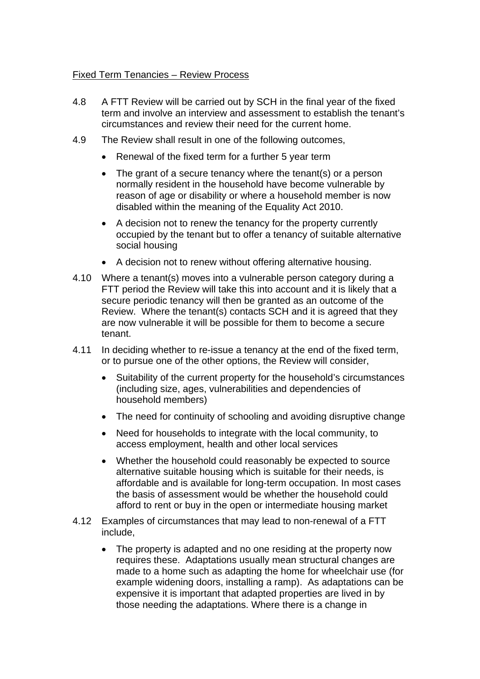#### Fixed Term Tenancies – Review Process

- 4.8 A FTT Review will be carried out by SCH in the final year of the fixed term and involve an interview and assessment to establish the tenant's circumstances and review their need for the current home.
- 4.9 The Review shall result in one of the following outcomes,
	- Renewal of the fixed term for a further 5 year term
	- The grant of a secure tenancy where the tenant(s) or a person normally resident in the household have become vulnerable by reason of age or disability or where a household member is now disabled within the meaning of the Equality Act 2010.
	- A decision not to renew the tenancy for the property currently occupied by the tenant but to offer a tenancy of suitable alternative social housing
	- A decision not to renew without offering alternative housing.
- 4.10 Where a tenant(s) moves into a vulnerable person category during a FTT period the Review will take this into account and it is likely that a secure periodic tenancy will then be granted as an outcome of the Review. Where the tenant(s) contacts SCH and it is agreed that they are now vulnerable it will be possible for them to become a secure tenant.
- 4.11 In deciding whether to re-issue a tenancy at the end of the fixed term, or to pursue one of the other options, the Review will consider,
	- Suitability of the current property for the household's circumstances (including size, ages, vulnerabilities and dependencies of household members)
	- The need for continuity of schooling and avoiding disruptive change
	- Need for households to integrate with the local community, to access employment, health and other local services
	- Whether the household could reasonably be expected to source alternative suitable housing which is suitable for their needs, is affordable and is available for long-term occupation. In most cases the basis of assessment would be whether the household could afford to rent or buy in the open or intermediate housing market
- 4.12 Examples of circumstances that may lead to non-renewal of a FTT include,
	- The property is adapted and no one residing at the property now requires these. Adaptations usually mean structural changes are made to a home such as adapting the home for wheelchair use (for example widening doors, installing a ramp). As adaptations can be expensive it is important that adapted properties are lived in by those needing the adaptations. Where there is a change in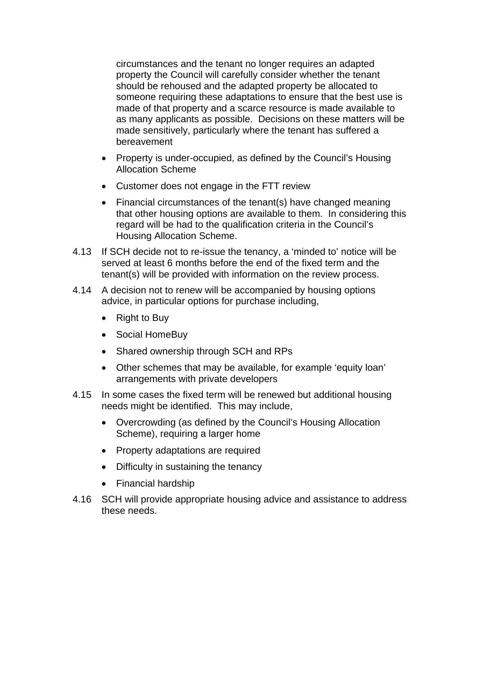circumstances and the tenant no longer requires an adapted property the Council will carefully consider whether the tenant should be rehoused and the adapted property be allocated to someone requiring these adaptations to ensure that the best use is made of that property and a scarce resource is made available to as many applicants as possible. Decisions on these matters will be made sensitively, particularly where the tenant has suffered a bereavement

- Property is under-occupied, as defined by the Council's Housing Allocation Scheme
- Customer does not engage in the FTT review
- Financial circumstances of the tenant(s) have changed meaning that other housing options are available to them. In considering this regard will be had to the qualification criteria in the Council's Housing Allocation Scheme.
- 4.13 If SCH decide not to re-issue the tenancy, a 'minded to' notice will be served at least 6 months before the end of the fixed term and the tenant(s) will be provided with information on the review process.
- 4.14 A decision not to renew will be accompanied by housing options advice, in particular options for purchase including,
	- Right to Buy
	- Social HomeBuy
	- Shared ownership through SCH and RPs
	- Other schemes that may be available, for example 'equity loan' arrangements with private developers
- 4.15 In some cases the fixed term will be renewed but additional housing needs might be identified. This may include,
	- Overcrowding (as defined by the Council's Housing Allocation Scheme), requiring a larger home
	- Property adaptations are required
	- Difficulty in sustaining the tenancy
	- Financial hardship
- 4.16 SCH will provide appropriate housing advice and assistance to address these needs.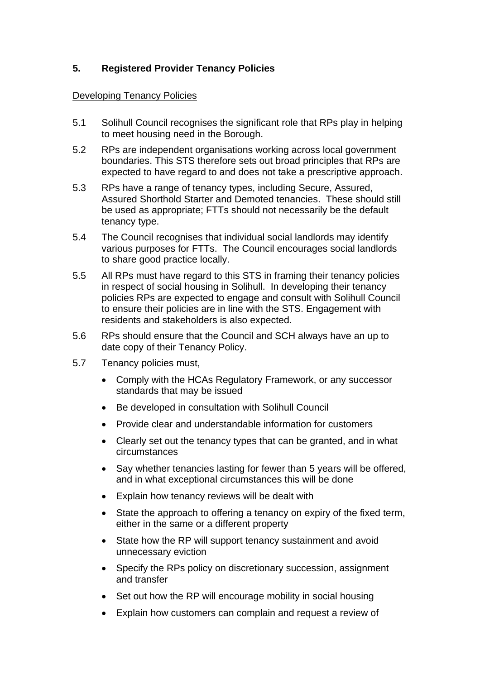# **5. Registered Provider Tenancy Policies**

#### Developing Tenancy Policies

- 5.1 Solihull Council recognises the significant role that RPs play in helping to meet housing need in the Borough.
- 5.2 RPs are independent organisations working across local government boundaries. This STS therefore sets out broad principles that RPs are expected to have regard to and does not take a prescriptive approach.
- 5.3 RPs have a range of tenancy types, including Secure, Assured, Assured Shorthold Starter and Demoted tenancies. These should still be used as appropriate; FTTs should not necessarily be the default tenancy type.
- 5.4 The Council recognises that individual social landlords may identify various purposes for FTTs. The Council encourages social landlords to share good practice locally.
- 5.5 All RPs must have regard to this STS in framing their tenancy policies in respect of social housing in Solihull. In developing their tenancy policies RPs are expected to engage and consult with Solihull Council to ensure their policies are in line with the STS. Engagement with residents and stakeholders is also expected.
- 5.6 RPs should ensure that the Council and SCH always have an up to date copy of their Tenancy Policy.
- 5.7 Tenancy policies must,
	- Comply with the HCAs Regulatory Framework, or any successor standards that may be issued
	- Be developed in consultation with Solihull Council
	- Provide clear and understandable information for customers
	- Clearly set out the tenancy types that can be granted, and in what circumstances
	- Say whether tenancies lasting for fewer than 5 years will be offered, and in what exceptional circumstances this will be done
	- Explain how tenancy reviews will be dealt with
	- State the approach to offering a tenancy on expiry of the fixed term, either in the same or a different property
	- State how the RP will support tenancy sustainment and avoid unnecessary eviction
	- Specify the RPs policy on discretionary succession, assignment and transfer
	- Set out how the RP will encourage mobility in social housing
	- Explain how customers can complain and request a review of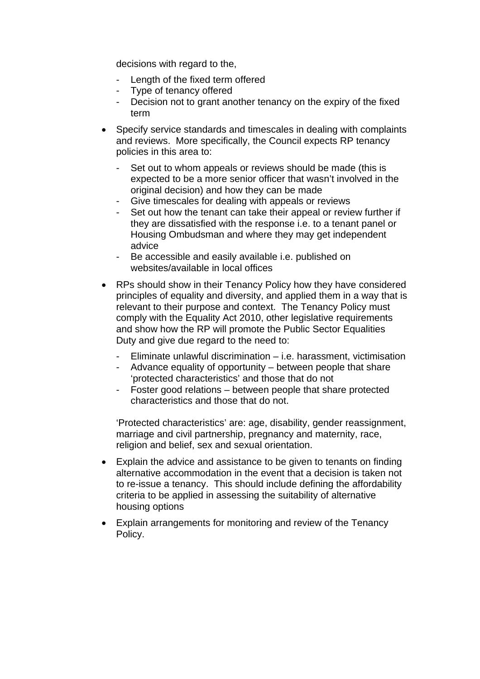decisions with regard to the,

- Length of the fixed term offered
- Type of tenancy offered
- Decision not to grant another tenancy on the expiry of the fixed term
- Specify service standards and timescales in dealing with complaints and reviews. More specifically, the Council expects RP tenancy policies in this area to:
	- Set out to whom appeals or reviews should be made (this is expected to be a more senior officer that wasn't involved in the original decision) and how they can be made
	- Give timescales for dealing with appeals or reviews
	- Set out how the tenant can take their appeal or review further if they are dissatisfied with the response i.e. to a tenant panel or Housing Ombudsman and where they may get independent advice
	- Be accessible and easily available i.e. published on websites/available in local offices
- RPs should show in their Tenancy Policy how they have considered principles of equality and diversity, and applied them in a way that is relevant to their purpose and context. The Tenancy Policy must comply with the Equality Act 2010, other legislative requirements and show how the RP will promote the Public Sector Equalities Duty and give due regard to the need to:
	- Eliminate unlawful discrimination i.e. harassment, victimisation
	- Advance equality of opportunity between people that share 'protected characteristics' and those that do not
	- Foster good relations between people that share protected characteristics and those that do not.

'Protected characteristics' are: age, disability, gender reassignment, marriage and civil partnership, pregnancy and maternity, race, religion and belief, sex and sexual orientation.

- Explain the advice and assistance to be given to tenants on finding alternative accommodation in the event that a decision is taken not to re-issue a tenancy. This should include defining the affordability criteria to be applied in assessing the suitability of alternative housing options
- Explain arrangements for monitoring and review of the Tenancy Policy.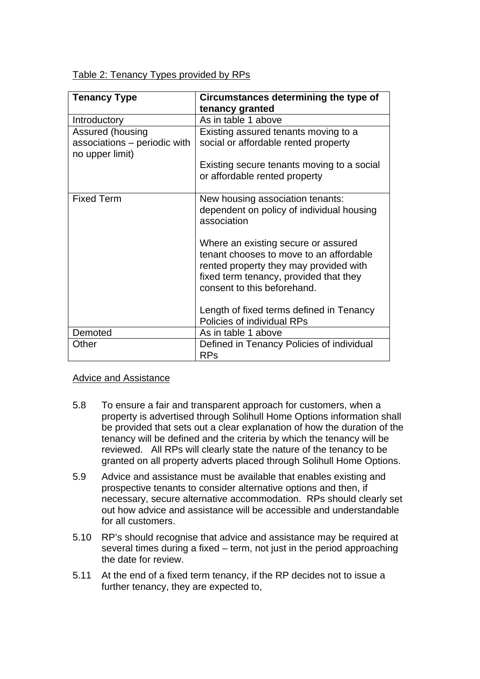|  | Table 2: Tenancy Types provided by RPs |  |
|--|----------------------------------------|--|
|  |                                        |  |

| <b>Tenancy Type</b>                                                 | Circumstances determining the type of<br>tenancy granted                                                                                                                                          |
|---------------------------------------------------------------------|---------------------------------------------------------------------------------------------------------------------------------------------------------------------------------------------------|
| Introductory                                                        | As in table 1 above                                                                                                                                                                               |
| Assured (housing<br>associations – periodic with<br>no upper limit) | Existing assured tenants moving to a<br>social or affordable rented property                                                                                                                      |
|                                                                     | Existing secure tenants moving to a social<br>or affordable rented property                                                                                                                       |
| <b>Fixed Term</b>                                                   | New housing association tenants:<br>dependent on policy of individual housing<br>association                                                                                                      |
|                                                                     | Where an existing secure or assured<br>tenant chooses to move to an affordable<br>rented property they may provided with<br>fixed term tenancy, provided that they<br>consent to this beforehand. |
|                                                                     | Length of fixed terms defined in Tenancy<br>Policies of individual RPs                                                                                                                            |
| Demoted                                                             | As in table 1 above                                                                                                                                                                               |
| Other                                                               | Defined in Tenancy Policies of individual<br><b>RPs</b>                                                                                                                                           |

### Advice and Assistance

- 5.8 To ensure a fair and transparent approach for customers, when a property is advertised through Solihull Home Options information shall be provided that sets out a clear explanation of how the duration of the tenancy will be defined and the criteria by which the tenancy will be reviewed. All RPs will clearly state the nature of the tenancy to be granted on all property adverts placed through Solihull Home Options.
- 5.9 Advice and assistance must be available that enables existing and prospective tenants to consider alternative options and then, if necessary, secure alternative accommodation. RPs should clearly set out how advice and assistance will be accessible and understandable for all customers.
- 5.10 RP's should recognise that advice and assistance may be required at several times during a fixed – term, not just in the period approaching the date for review.
- 5.11 At the end of a fixed term tenancy, if the RP decides not to issue a further tenancy, they are expected to,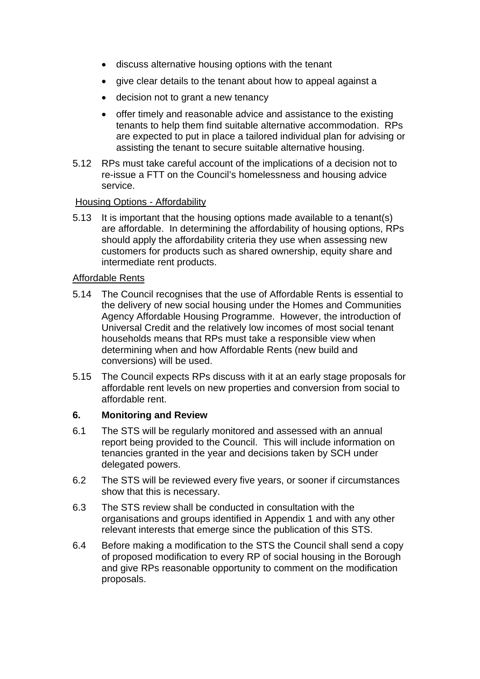- discuss alternative housing options with the tenant
- give clear details to the tenant about how to appeal against a
- decision not to grant a new tenancy
- offer timely and reasonable advice and assistance to the existing tenants to help them find suitable alternative accommodation. RPs are expected to put in place a tailored individual plan for advising or assisting the tenant to secure suitable alternative housing.
- 5.12 RPs must take careful account of the implications of a decision not to re-issue a FTT on the Council's homelessness and housing advice service.

#### Housing Options - Affordability

5.13 It is important that the housing options made available to a tenant(s) are affordable. In determining the affordability of housing options, RPs should apply the affordability criteria they use when assessing new customers for products such as shared ownership, equity share and intermediate rent products.

#### Affordable Rents

- 5.14 The Council recognises that the use of Affordable Rents is essential to the delivery of new social housing under the Homes and Communities Agency Affordable Housing Programme. However, the introduction of Universal Credit and the relatively low incomes of most social tenant households means that RPs must take a responsible view when determining when and how Affordable Rents (new build and conversions) will be used.
- 5.15 The Council expects RPs discuss with it at an early stage proposals for affordable rent levels on new properties and conversion from social to affordable rent.

#### **6. Monitoring and Review**

- 6.1 The STS will be regularly monitored and assessed with an annual report being provided to the Council. This will include information on tenancies granted in the year and decisions taken by SCH under delegated powers.
- 6.2 The STS will be reviewed every five years, or sooner if circumstances show that this is necessary.
- 6.3 The STS review shall be conducted in consultation with the organisations and groups identified in Appendix 1 and with any other relevant interests that emerge since the publication of this STS.
- 6.4 Before making a modification to the STS the Council shall send a copy of proposed modification to every RP of social housing in the Borough and give RPs reasonable opportunity to comment on the modification proposals.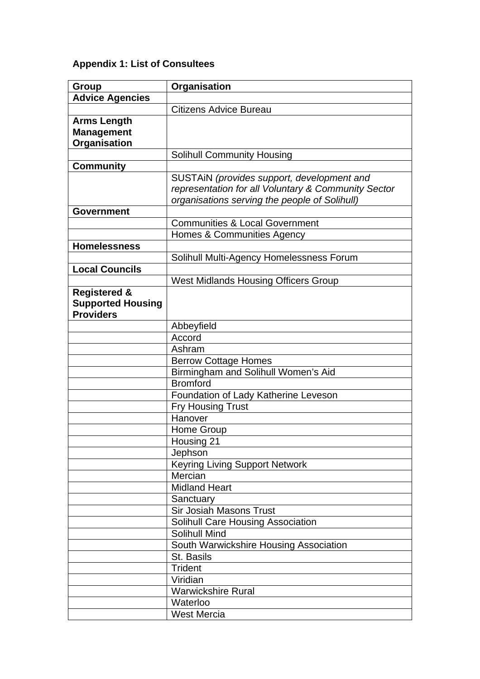# **Appendix 1: List of Consultees**

| Group                    | Organisation                                        |
|--------------------------|-----------------------------------------------------|
| <b>Advice Agencies</b>   |                                                     |
|                          | <b>Citizens Advice Bureau</b>                       |
| <b>Arms Length</b>       |                                                     |
| <b>Management</b>        |                                                     |
| Organisation             |                                                     |
|                          | <b>Solihull Community Housing</b>                   |
| <b>Community</b>         |                                                     |
|                          | SUSTAIN (provides support, development and          |
|                          | representation for all Voluntary & Community Sector |
|                          | organisations serving the people of Solihull)       |
| <b>Government</b>        |                                                     |
|                          | <b>Communities &amp; Local Government</b>           |
|                          | Homes & Communities Agency                          |
| <b>Homelessness</b>      |                                                     |
|                          | Solihull Multi-Agency Homelessness Forum            |
| <b>Local Councils</b>    |                                                     |
|                          | <b>West Midlands Housing Officers Group</b>         |
| <b>Registered &amp;</b>  |                                                     |
| <b>Supported Housing</b> |                                                     |
| <b>Providers</b>         |                                                     |
|                          | Abbeyfield                                          |
|                          | Accord                                              |
|                          | Ashram                                              |
|                          | <b>Berrow Cottage Homes</b>                         |
|                          | Birmingham and Solihull Women's Aid                 |
|                          | Bromford                                            |
|                          | Foundation of Lady Katherine Leveson                |
|                          | <b>Fry Housing Trust</b>                            |
|                          | Hanover                                             |
|                          | Home Group                                          |
|                          | Housing 21                                          |
|                          | Jephson                                             |
|                          | <b>Keyring Living Support Network</b>               |
|                          | Mercian                                             |
|                          | <b>Midland Heart</b>                                |
|                          | Sanctuary                                           |
|                          | Sir Josiah Masons Trust                             |
|                          | Solihull Care Housing Association                   |
|                          | <b>Solihull Mind</b>                                |
|                          | South Warwickshire Housing Association              |
|                          | St. Basils                                          |
|                          | <b>Trident</b>                                      |
|                          | Viridian                                            |
|                          | <b>Warwickshire Rural</b>                           |
|                          | Waterloo                                            |
|                          | <b>West Mercia</b>                                  |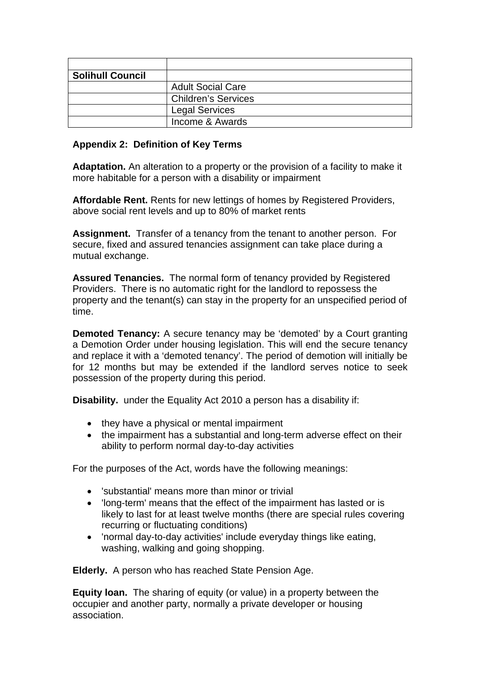| <b>Solihull Council</b> |                            |
|-------------------------|----------------------------|
|                         | <b>Adult Social Care</b>   |
|                         | <b>Children's Services</b> |
|                         | <b>Legal Services</b>      |
|                         | Income & Awards            |

#### **Appendix 2: Definition of Key Terms**

**Adaptation.** An alteration to a property or the provision of a facility to make it more habitable for a person with a disability or impairment

**Affordable Rent.** Rents for new lettings of homes by Registered Providers, above social rent levels and up to 80% of market rents

**Assignment.** Transfer of a tenancy from the tenant to another person. For secure, fixed and assured tenancies assignment can take place during a mutual exchange.

**Assured Tenancies.** The normal form of tenancy provided by Registered Providers. There is no automatic right for the landlord to repossess the property and the tenant(s) can stay in the property for an unspecified period of time.

**Demoted Tenancy:** A secure tenancy may be 'demoted' by a Court granting a Demotion Order under housing legislation. This will end the secure tenancy and replace it with a 'demoted tenancy'. The period of demotion will initially be for 12 months but may be extended if the landlord serves notice to seek possession of the property during this period.

**Disability.** under the Equality Act 2010 a person has a disability if:

- they have a physical or mental impairment
- the impairment has a substantial and long-term adverse effect on their ability to perform normal day-to-day activities

For the purposes of the Act, words have the following meanings:

- 'substantial' means more than minor or trivial
- 'long-term' means that the effect of the impairment has lasted or is likely to last for at least twelve months (there are special rules covering recurring or fluctuating conditions)
- 'normal day-to-day activities' include everyday things like eating, washing, walking and going shopping.

**Elderly.** A person who has reached State Pension Age.

**Equity loan.** The sharing of equity (or value) in a property between the occupier and another party, normally a private developer or housing association.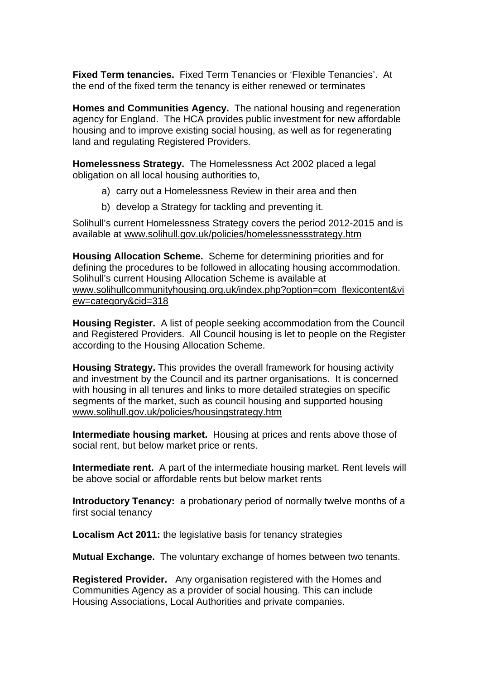**Fixed Term tenancies.** Fixed Term Tenancies or 'Flexible Tenancies'. At the end of the fixed term the tenancy is either renewed or terminates

**Homes and Communities Agency.** The national housing and regeneration agency for England. The HCA provides public investment for new affordable housing and to improve existing social housing, as well as for regenerating land and regulating Registered Providers.

**Homelessness Strategy.** The Homelessness Act 2002 placed a legal obligation on all local housing authorities to,

- a) carry out a Homelessness Review in their area and then
- b) develop a Strategy for tackling and preventing it.

Solihull's current Homelessness Strategy covers the period 2012-2015 and is available at www.solihull.gov.uk/policies/homelessnessstrategy.htm

**Housing Allocation Scheme.** Scheme for determining priorities and for defining the procedures to be followed in allocating housing accommodation. Solihull's current Housing Allocation Scheme is available at www.solihullcommunityhousing.org.uk/index.php?option=com\_flexicontent&vi ew=category&cid=318

**Housing Register.** A list of people seeking accommodation from the Council and Registered Providers. All Council housing is let to people on the Register according to the Housing Allocation Scheme.

**Housing Strategy.** This provides the overall framework for housing activity and investment by the Council and its partner organisations. It is concerned with housing in all tenures and links to more detailed strategies on specific segments of the market, such as council housing and supported housing www.solihull.gov.uk/policies/housingstrategy.htm

**Intermediate housing market.** Housing at prices and rents above those of social rent, but below market price or rents.

**Intermediate rent.** A part of the intermediate housing market. Rent levels will be above social or affordable rents but below market rents

**Introductory Tenancy:** a probationary period of normally twelve months of a first social tenancy

**Localism Act 2011:** the legislative basis for tenancy strategies

**Mutual Exchange.** The voluntary exchange of homes between two tenants.

**Registered Provider.** Any organisation registered with the Homes and Communities Agency as a provider of social housing. This can include Housing Associations, Local Authorities and private companies.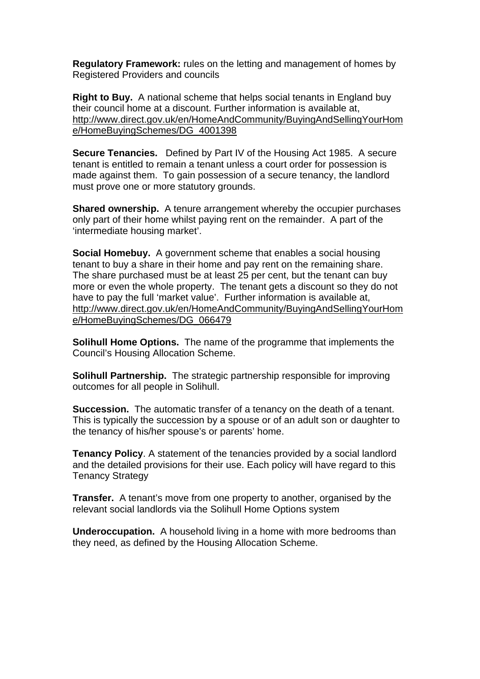**Regulatory Framework:** rules on the letting and management of homes by Registered Providers and councils

**Right to Buy.** A national scheme that helps social tenants in England buy their council home at a discount. Further information is available at, http://www.direct.gov.uk/en/HomeAndCommunity/BuyingAndSellingYourHom e/HomeBuyingSchemes/DG\_4001398

**Secure Tenancies.** Defined by Part IV of the Housing Act 1985. A secure tenant is entitled to remain a tenant unless a court order for possession is made against them. To gain possession of a secure tenancy, the landlord must prove one or more statutory grounds.

**Shared ownership.** A tenure arrangement whereby the occupier purchases only part of their home whilst paying rent on the remainder. A part of the 'intermediate housing market'.

**Social Homebuy.** A government scheme that enables a social housing tenant to buy a share in their home and pay rent on the remaining share. The share purchased must be at least 25 per cent, but the tenant can buy more or even the whole property. The tenant gets a discount so they do not have to pay the full 'market value'. Further information is available at, http://www.direct.gov.uk/en/HomeAndCommunity/BuyingAndSellingYourHom e/HomeBuyingSchemes/DG\_066479

**Solihull Home Options.** The name of the programme that implements the Council's Housing Allocation Scheme.

**Solihull Partnership.** The strategic partnership responsible for improving outcomes for all people in Solihull.

**Succession.** The automatic transfer of a tenancy on the death of a tenant. This is typically the succession by a spouse or of an adult son or daughter to the tenancy of his/her spouse's or parents' home.

**Tenancy Policy**. A statement of the tenancies provided by a social landlord and the detailed provisions for their use. Each policy will have regard to this Tenancy Strategy

**Transfer.** A tenant's move from one property to another, organised by the relevant social landlords via the Solihull Home Options system

**Underoccupation.** A household living in a home with more bedrooms than they need, as defined by the Housing Allocation Scheme.